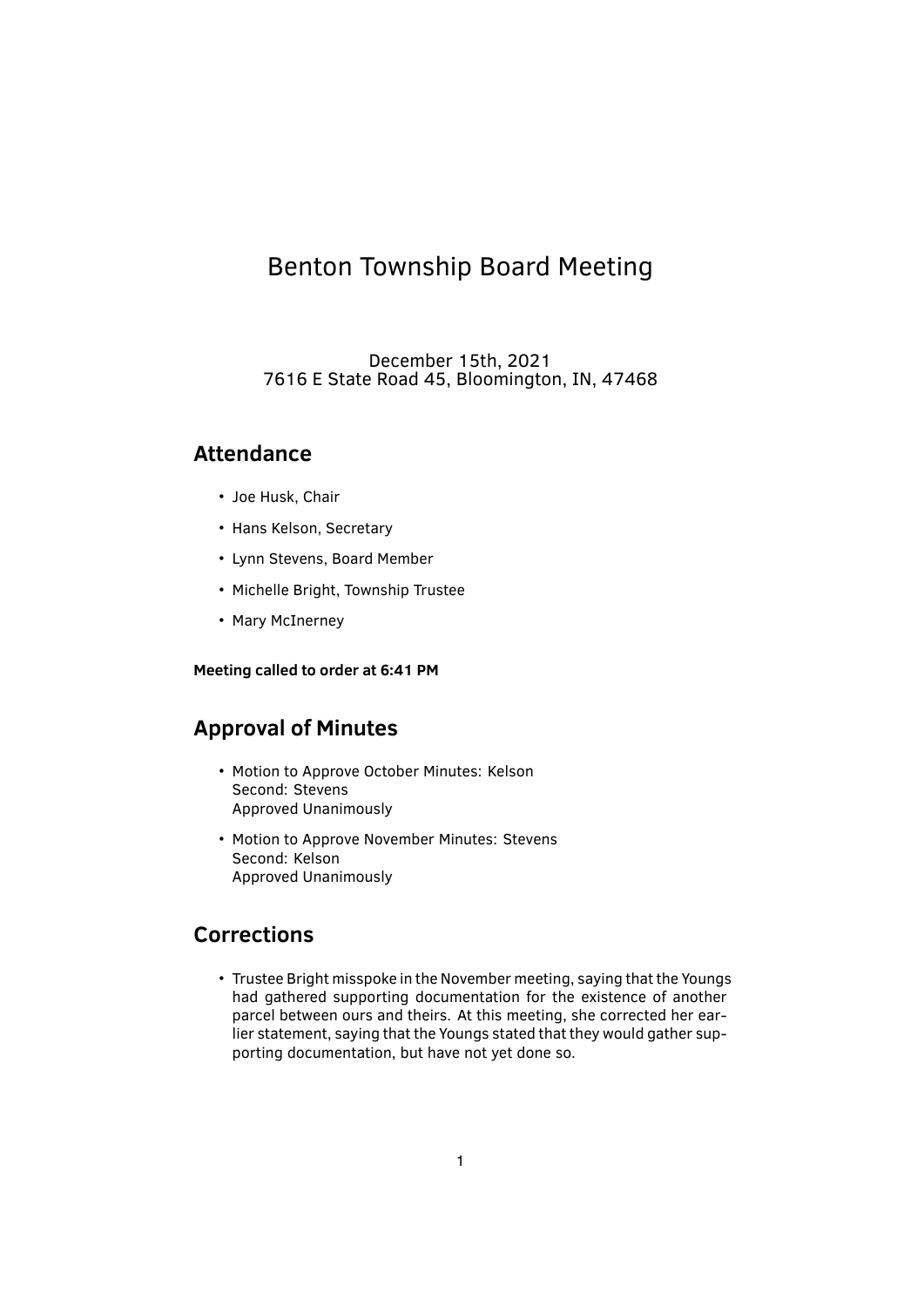# Benton Township Board Meeting

December 15th, 2021 7616 E State Road 45, Bloomington, IN, 47468

# **Attendance**

- Joe Husk, Chair
- Hans Kelson, Secretary
- Lynn Stevens, Board Member
- Michelle Bright, Township Trustee
- Mary McInerney

#### **Meeting called to order at 6:41 PM**

## **Approval of Minutes**

- Motion to Approve October Minutes: Kelson Second: Stevens Approved Unanimously
- Motion to Approve November Minutes: Stevens Second: Kelson Approved Unanimously

### **Corrections**

• Trustee Bright misspoke in the November meeting, saying that the Youngs had gathered supporting documentation for the existence of another parcel between ours and theirs. At this meeting, she corrected her earlier statement, saying that the Youngs stated that they would gather supporting documentation, but have not yet done so.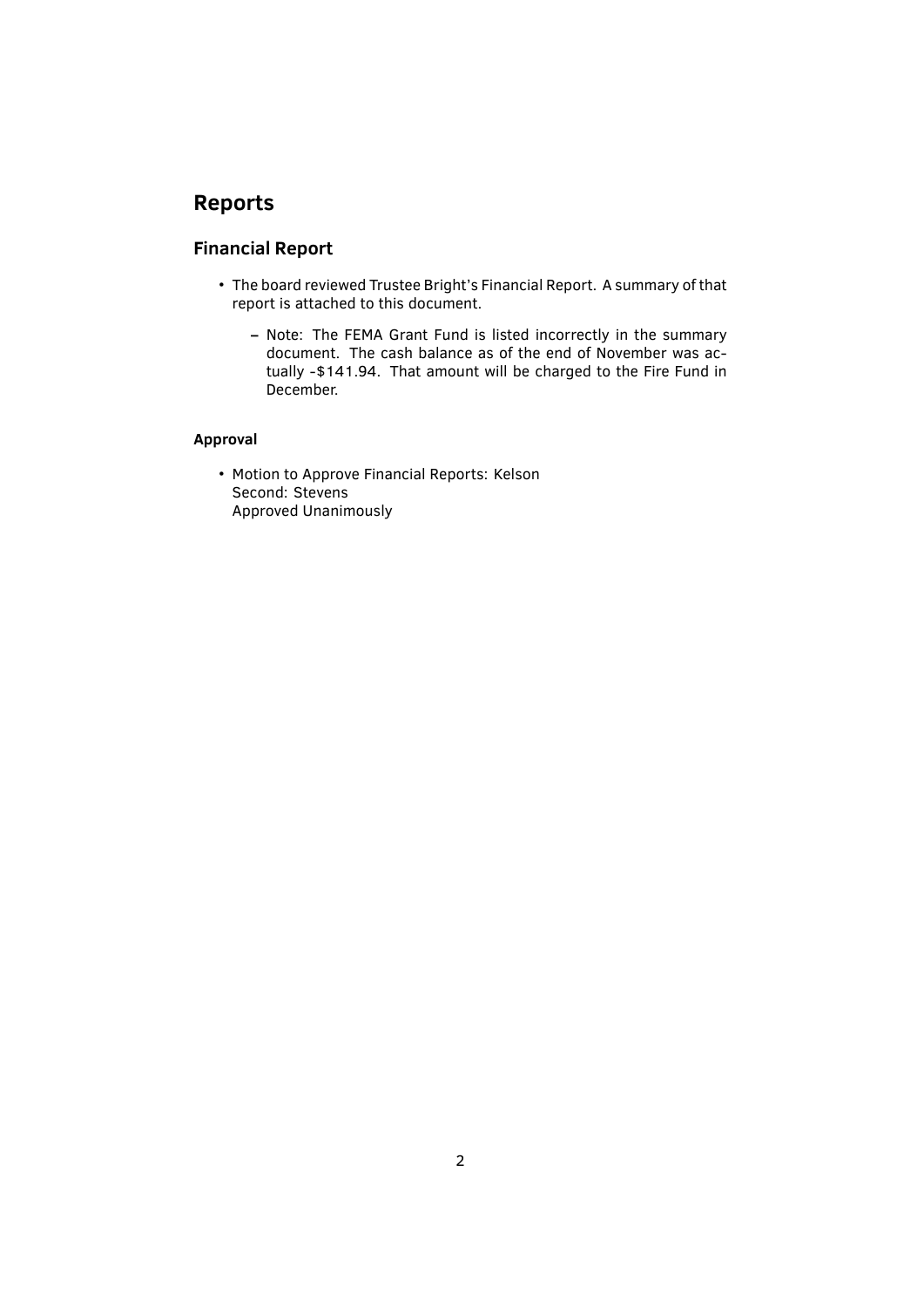# **Reports**

### **Financial Report**

- The board reviewed Trustee Bright's Financial Report. A summary of that report is attached to this document.
	- **–** Note: The FEMA Grant Fund is listed incorrectly in the summary document. The cash balance as of the end of November was actually -\$141.94. That amount will be charged to the Fire Fund in December.

#### **Approval**

• Motion to Approve Financial Reports: Kelson Second: Stevens Approved Unanimously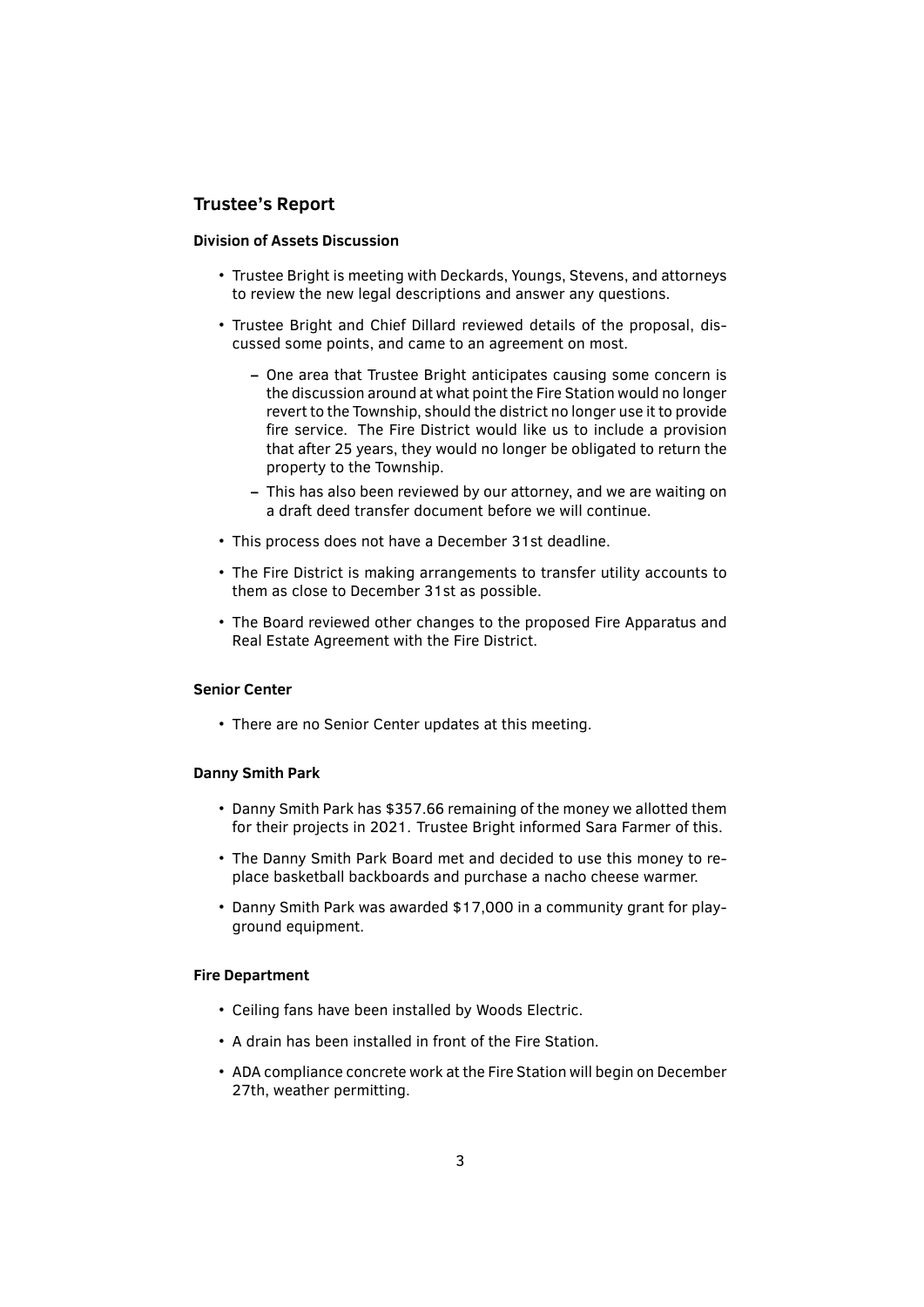#### **Trustee's Report**

#### **Division of Assets Discussion**

- Trustee Bright is meeting with Deckards, Youngs, Stevens, and attorneys to review the new legal descriptions and answer any questions.
- Trustee Bright and Chief Dillard reviewed details of the proposal, discussed some points, and came to an agreement on most.
	- **–** One area that Trustee Bright anticipates causing some concern is the discussion around at what point the Fire Station would no longer revert to the Township, should the district no longer use it to provide fire service. The Fire District would like us to include a provision that after 25 years, they would no longer be obligated to return the property to the Township.
	- **–** This has also been reviewed by our attorney, and we are waiting on a draft deed transfer document before we will continue.
- This process does not have a December 31st deadline.
- The Fire District is making arrangements to transfer utility accounts to them as close to December 31st as possible.
- The Board reviewed other changes to the proposed Fire Apparatus and Real Estate Agreement with the Fire District.

#### **Senior Center**

• There are no Senior Center updates at this meeting.

#### **Danny Smith Park**

- Danny Smith Park has \$357.66 remaining of the money we allotted them for their projects in 2021. Trustee Bright informed Sara Farmer of this.
- The Danny Smith Park Board met and decided to use this money to replace basketball backboards and purchase a nacho cheese warmer.
- Danny Smith Park was awarded \$17,000 in a community grant for playground equipment.

#### **Fire Department**

- Ceiling fans have been installed by Woods Electric.
- A drain has been installed in front of the Fire Station.
- ADA compliance concrete work at the Fire Station will begin on December 27th, weather permitting.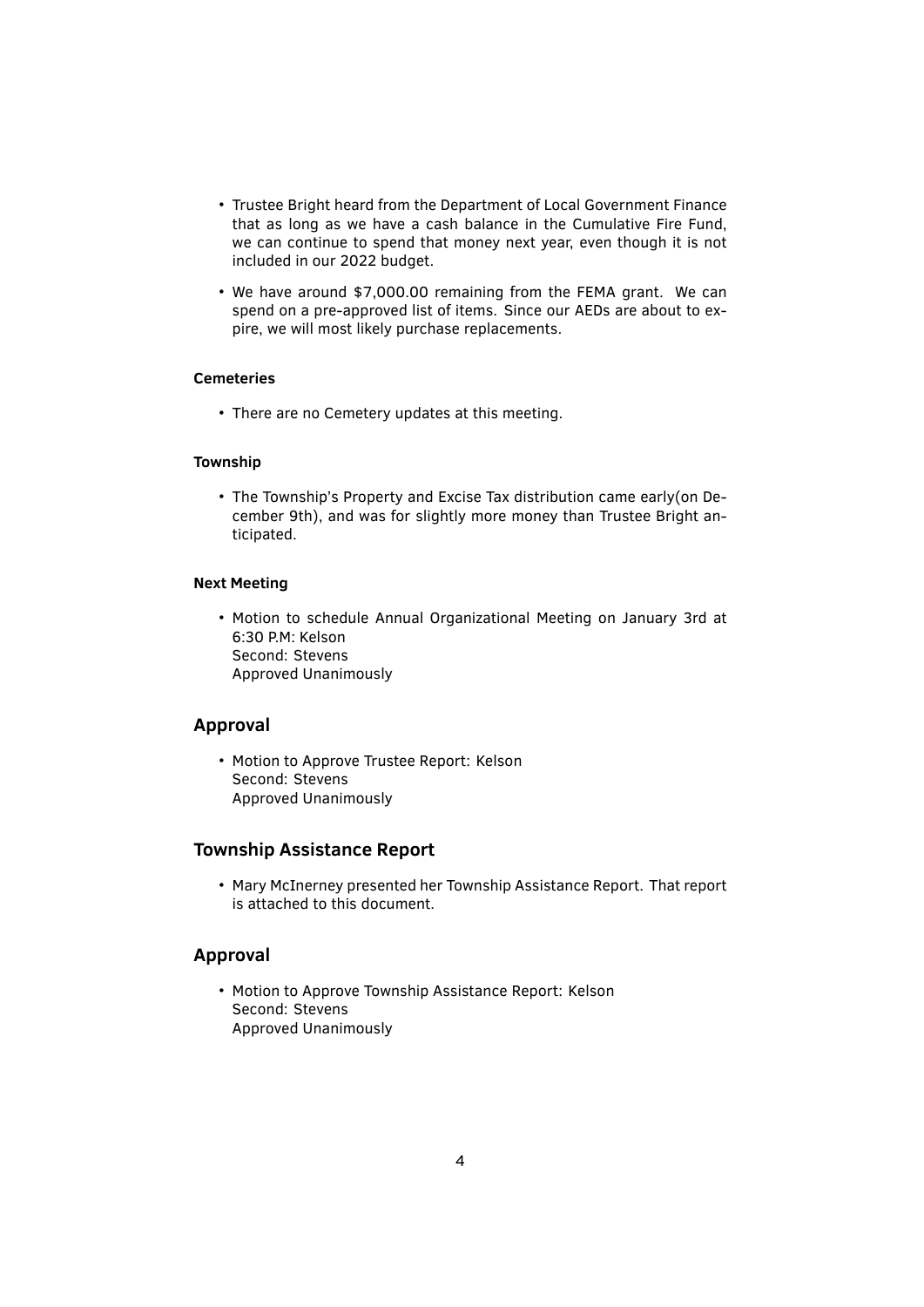- Trustee Bright heard from the Department of Local Government Finance that as long as we have a cash balance in the Cumulative Fire Fund, we can continue to spend that money next year, even though it is not included in our 2022 budget.
- We have around \$7,000.00 remaining from the FEMA grant. We can spend on a pre-approved list of items. Since our AEDs are about to expire, we will most likely purchase replacements.

#### **Cemeteries**

• There are no Cemetery updates at this meeting.

#### **Township**

• The Township's Property and Excise Tax distribution came early(on December 9th), and was for slightly more money than Trustee Bright anticipated.

#### **Next Meeting**

• Motion to schedule Annual Organizational Meeting on January 3rd at 6:30 P.M: Kelson Second: Stevens Approved Unanimously

#### **Approval**

• Motion to Approve Trustee Report: Kelson Second: Stevens Approved Unanimously

#### **Township Assistance Report**

• Mary McInerney presented her Township Assistance Report. That report is attached to this document.

#### **Approval**

• Motion to Approve Township Assistance Report: Kelson Second: Stevens Approved Unanimously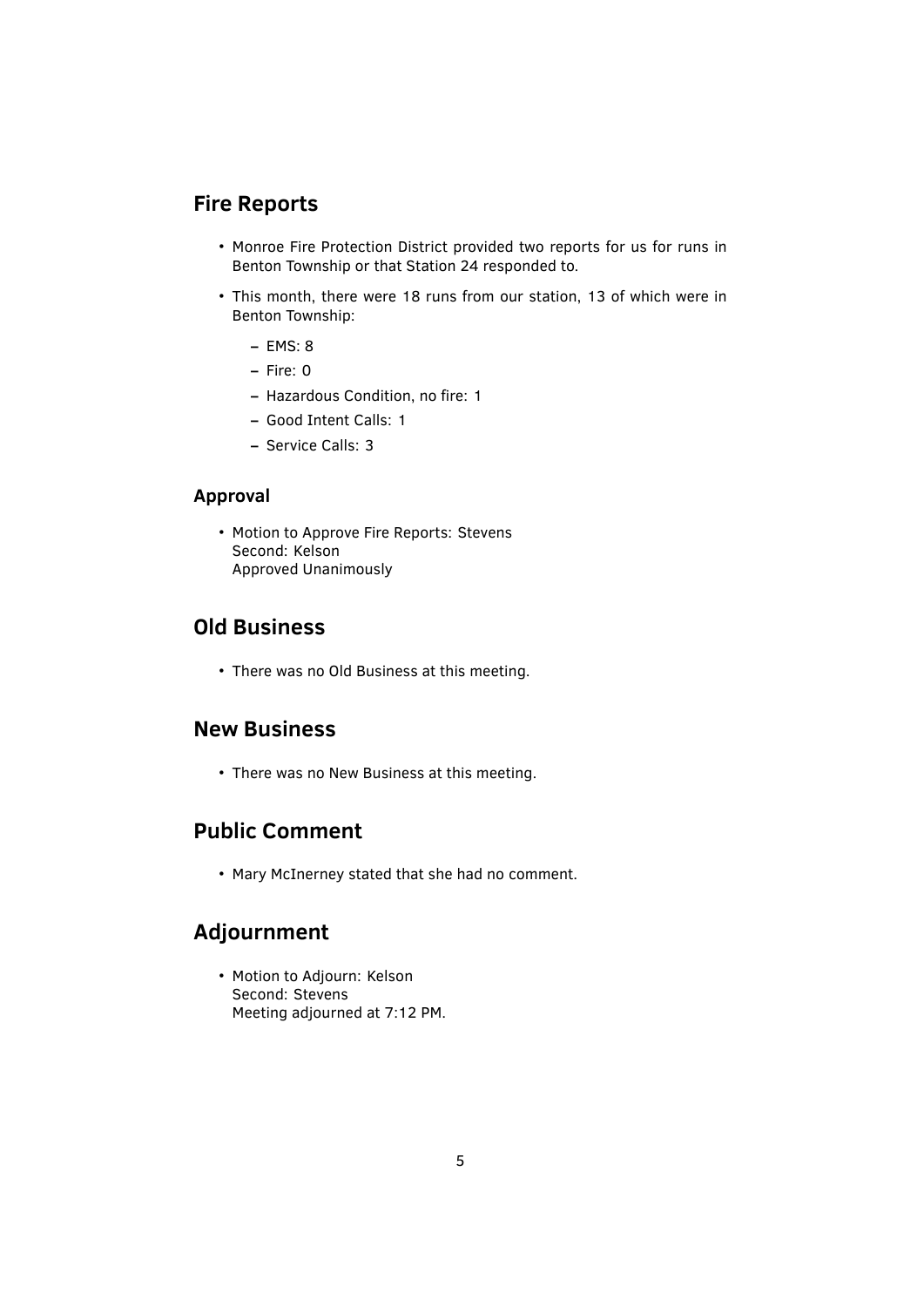# **Fire Reports**

- Monroe Fire Protection District provided two reports for us for runs in Benton Township or that Station 24 responded to.
- This month, there were 18 runs from our station, 13 of which were in Benton Township:
	- **–** EMS: 8
	- **–** Fire: 0
	- **–** Hazardous Condition, no ̬re: 1
	- **–** Good Intent Calls: 1
	- **–** Service Calls: 3

#### **Approval**

• Motion to Approve Fire Reports: Stevens Second: Kelson Approved Unanimously

# **Old Business**

• There was no Old Business at this meeting.

# **New Business**

• There was no New Business at this meeting.

# **Public Comment**

• Mary McInerney stated that she had no comment.

# **Adjournment**

• Motion to Adjourn: Kelson Second: Stevens Meeting adjourned at 7:12 PM.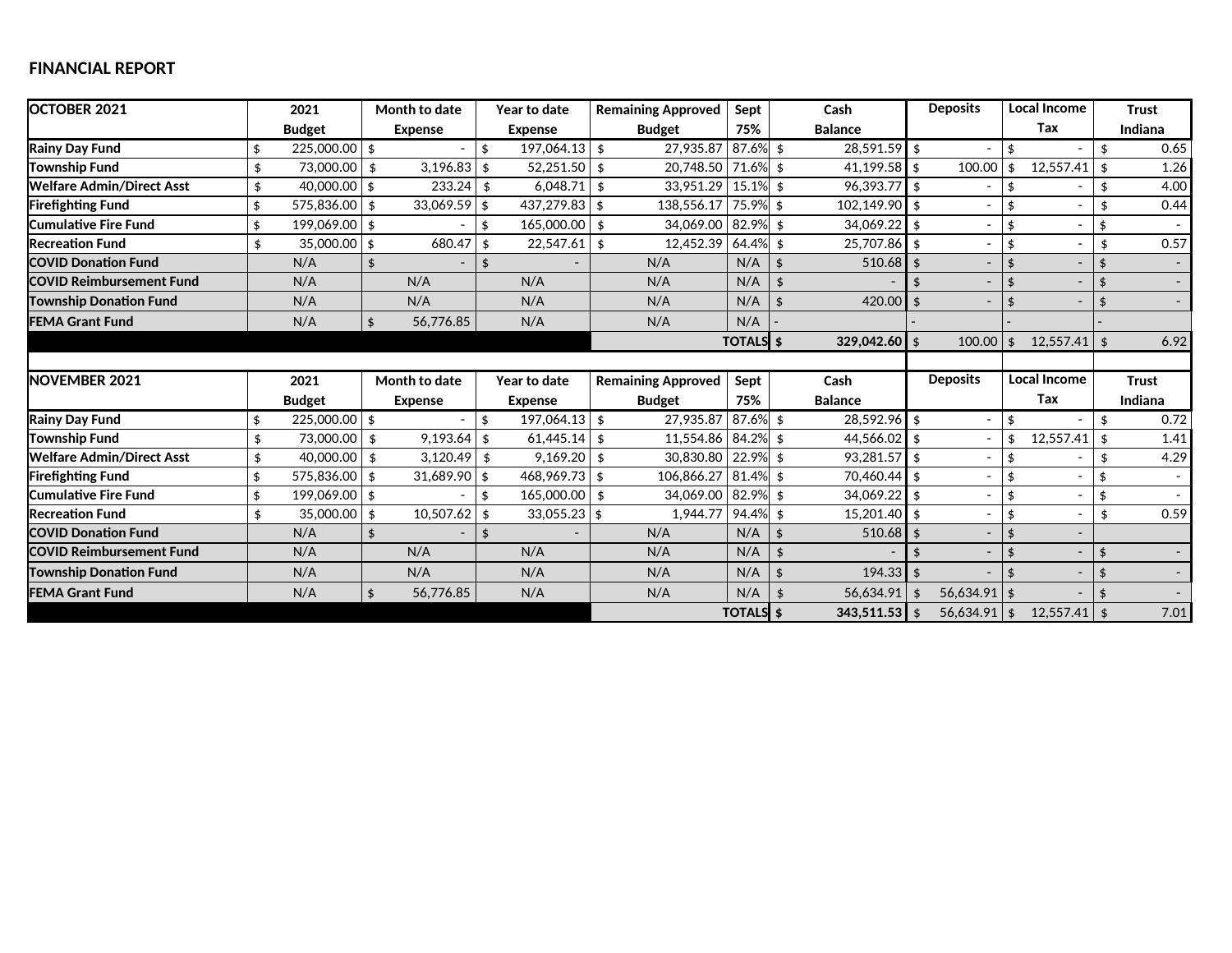### **FINANCIAL REPORT**

| OCTOBER 2021                     | 2021 |                 | Month to date |                | Year to date       |                 | <b>Remaining Approved</b> |                           | Sept             | Cash |                   | <b>Deposits</b> |                          | <b>Local Income</b> |                     | <b>Trust</b>       |                          |  |
|----------------------------------|------|-----------------|---------------|----------------|--------------------|-----------------|---------------------------|---------------------------|------------------|------|-------------------|-----------------|--------------------------|---------------------|---------------------|--------------------|--------------------------|--|
|                                  |      | <b>Budget</b>   |               | <b>Expense</b> |                    | <b>Expense</b>  |                           | <b>Budget</b>             | 75%              |      | <b>Balance</b>    |                 |                          |                     | Tax                 |                    | Indiana                  |  |
| <b>Rainy Day Fund</b>            |      | $225,000.00$ \$ |               |                |                    | $197,064.13$ \$ |                           | 27,935.87                 | $87.6\%$ \$      |      | $28.591.59$ s     |                 |                          | \$                  |                     | \$                 | 0.65                     |  |
| <b>Township Fund</b>             | \$   | 73,000.00       | \$            | 3,196.83       | \$                 | $52,251.50$ \$  |                           | 20,748.50                 | 71.6% \$         |      | $41,199.58$ \$    |                 | 100.00                   | \$                  | 12,557.41           | \$                 | 1.26                     |  |
| <b>Welfare Admin/Direct Asst</b> | \$   | 40,000.00       | \$            | 233.24         | \$                 | 6,048.71        | \$                        | 33.951.29                 | $15.1\%$ \$      |      | $96.393.77$ \$    |                 |                          | \$                  |                     | \$                 | 4.00                     |  |
| <b>Firefighting Fund</b>         | \$   | 575,836.00      | \$            | $33,069.59$ \$ |                    | $437,279.83$ \$ |                           | 138,556.17                | $75.9\%$ \$      |      | $102.149.90$ s    |                 |                          | \$                  |                     | \$                 | 0.44                     |  |
| <b>Cumulative Fire Fund</b>      | \$   | 199,069.00      | \$            |                | \$                 | 165,000.00      | -\$                       | 34.069.00                 | $82.9%$ \$       |      | $34.069.22$ \$    |                 |                          | \$                  |                     | \$                 |                          |  |
| <b>Recreation Fund</b>           | \$   | 35,000.00       | \$            | 680.47         | \$                 | 22,547.61       | - \$                      | 12,452.39                 | 64.4% \$         |      | 25,707.86 \$      |                 |                          | \$                  |                     | \$                 | 0.57                     |  |
| <b>COVID Donation Fund</b>       |      | N/A             | \$            |                | \$                 |                 |                           | N/A                       | N/A              | \$   | $510.68$ \$       |                 | $\overline{\phantom{a}}$ | $\mathbf{\hat{z}}$  |                     | \$                 | $\sim$                   |  |
| <b>COVID Reimbursement Fund</b>  |      | N/A             |               | N/A            |                    | N/A             |                           | N/A                       | N/A              |      |                   |                 |                          | $\frac{4}{3}$       |                     | \$                 | $\blacksquare$           |  |
| <b>Township Donation Fund</b>    |      | N/A             |               | N/A            |                    | N/A             |                           | N/A                       | N/A              |      | 420.00 $\vert$ \$ |                 |                          | $\mathbf{\hat{z}}$  |                     |                    | $\overline{\phantom{0}}$ |  |
| <b>FEMA Grant Fund</b>           |      | N/A             | \$            | 56.776.85      |                    | N/A             |                           | N/A                       | N/A              |      |                   |                 |                          |                     |                     |                    |                          |  |
|                                  |      |                 |               |                |                    |                 |                           |                           | <b>TOTALS</b> \$ |      | $329.042.60$ \$   |                 | 100.00                   | \$                  | 12.557.41           | $\mathbf{\hat{S}}$ | 6.92                     |  |
|                                  |      |                 |               |                |                    |                 |                           |                           |                  |      |                   |                 |                          |                     |                     |                    |                          |  |
| NOVEMBER 2021                    |      | 2021            |               | Month to date  |                    | Year to date    |                           | <b>Remaining Approved</b> |                  |      | Cash              |                 | <b>Deposits</b>          |                     | <b>Local Income</b> |                    | <b>Trust</b>             |  |
|                                  |      | <b>Budget</b>   |               | <b>Expense</b> |                    | <b>Expense</b>  |                           | <b>Budget</b>             |                  |      | <b>Balance</b>    |                 |                          |                     | Tax                 |                    | Indiana                  |  |
| <b>Rainy Day Fund</b>            | \$   | $225.000.00$ \$ |               |                | \$                 | $197.064.13$ \$ |                           | 27.935.87                 | $87.6\%$ \$      |      | 28,592.96 \$      |                 |                          | \$                  |                     | \$                 | 0.72                     |  |
| <b>Township Fund</b>             | \$   | 73,000.00       | \$            | $9,193.64$ \$  |                    | $61,445.14$ \$  |                           | 11,554.86                 | $84.2\%$ \$      |      | $44,566.02$ \$    |                 |                          | \$                  | 12,557.41           | \$                 | 1.41                     |  |
| Welfare Admin/Direct Asst        | \$   | 40,000.00       | \$            | $3,120.49$ \$  |                    | 9,169.20        | - \$                      | 30,830.80                 | $22.9\%$ \$      |      | $93.281.57$ \$    |                 |                          | \$                  |                     | \$                 | 4.29                     |  |
| <b>Firefighting Fund</b>         | \$   | 575.836.00      | \$            | $31,689.90$ \$ |                    | $468,969.73$ \$ |                           | 106,866.27                | $81.4\%$ \$      |      | 70,460.44 \$      |                 |                          | \$                  |                     | \$                 |                          |  |
| <b>Cumulative Fire Fund</b>      | \$   | 199,069.00 \$   |               |                | \$                 | $165,000.00$ \$ |                           | 34,069.00                 | $82.9\%$ \$      |      | $34,069.22$ \$    |                 |                          | \$                  |                     | \$                 |                          |  |
| <b>Recreation Fund</b>           | \$   | 35,000.00       | \$            | 10,507.62      | \$                 | $33,055.23$ \$  |                           | 1,944.77                  | $94.4\%$ \$      |      | $15.201.40$ s     |                 |                          | \$                  |                     | \$                 | 0.59                     |  |
| <b>COVID Donation Fund</b>       |      | N/A             | \$            |                | $\mathbf{\hat{A}}$ |                 |                           | N/A                       | N/A              | \$   | $510.68$ \$       |                 |                          | $\frac{4}{3}$       |                     |                    |                          |  |
|                                  |      |                 |               |                |                    |                 |                           |                           |                  |      |                   |                 |                          |                     |                     |                    | $\sim$                   |  |
| <b>COVID Reimbursement Fund</b>  |      | N/A             |               | N/A            |                    | N/A             |                           | N/A                       | N/A              | \$   |                   |                 |                          | $\mathbf{\hat{z}}$  |                     | \$                 |                          |  |
| <b>Township Donation Fund</b>    |      | N/A             |               | N/A            |                    | N/A             |                           | N/A                       | N/A              |      | $194.33$ \$       |                 |                          | ¢                   |                     |                    | $\sim$                   |  |
| <b>FEMA Grant Fund</b>           |      | N/A             | \$            | 56,776.85      |                    | N/A             |                           | N/A                       | N/A              |      | 56.634.91         | \$              | 56.634.91                | \$                  |                     |                    | $\overline{\phantom{a}}$ |  |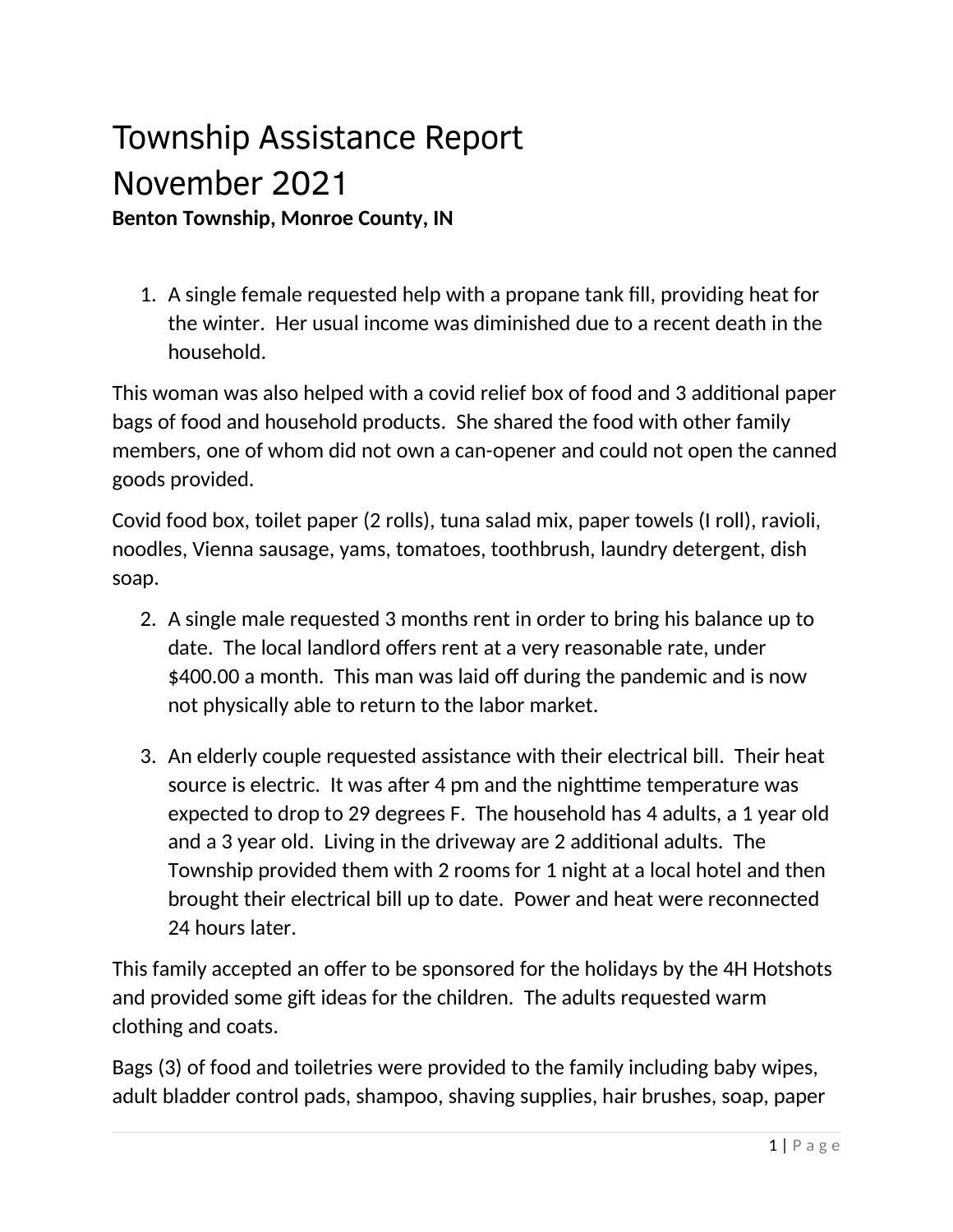# Township Assistance Report November 2021 **Benton Township, Monroe County, IN**

1. A single female requested help with a propane tank fill, providing heat for the winter. Her usual income was diminished due to a recent death in the household.

This woman was also helped with a covid relief box of food and 3 additional paper bags of food and household products. She shared the food with other family members, one of whom did not own a can-opener and could not open the canned goods provided.

Covid food box, toilet paper (2 rolls), tuna salad mix, paper towels (I roll), ravioli, noodles, Vienna sausage, yams, tomatoes, toothbrush, laundry detergent, dish soap.

- 2. A single male requested 3 months rent in order to bring his balance up to date. The local landlord offers rent at a very reasonable rate, under \$400.00 a month. This man was laid off during the pandemic and is now not physically able to return to the labor market.
- 3. An elderly couple requested assistance with their electrical bill. Their heat source is electric. It was after 4 pm and the nighttime temperature was expected to drop to 29 degrees F. The household has 4 adults, a 1 year old and a 3 year old. Living in the driveway are 2 additional adults. The Township provided them with 2 rooms for 1 night at a local hotel and then brought their electrical bill up to date. Power and heat were reconnected 24 hours later.

This family accepted an offer to be sponsored for the holidays by the 4H Hotshots and provided some gift ideas for the children. The adults requested warm clothing and coats.

Bags (3) of food and toiletries were provided to the family including baby wipes, adult bladder control pads, shampoo, shaving supplies, hair brushes, soap, paper